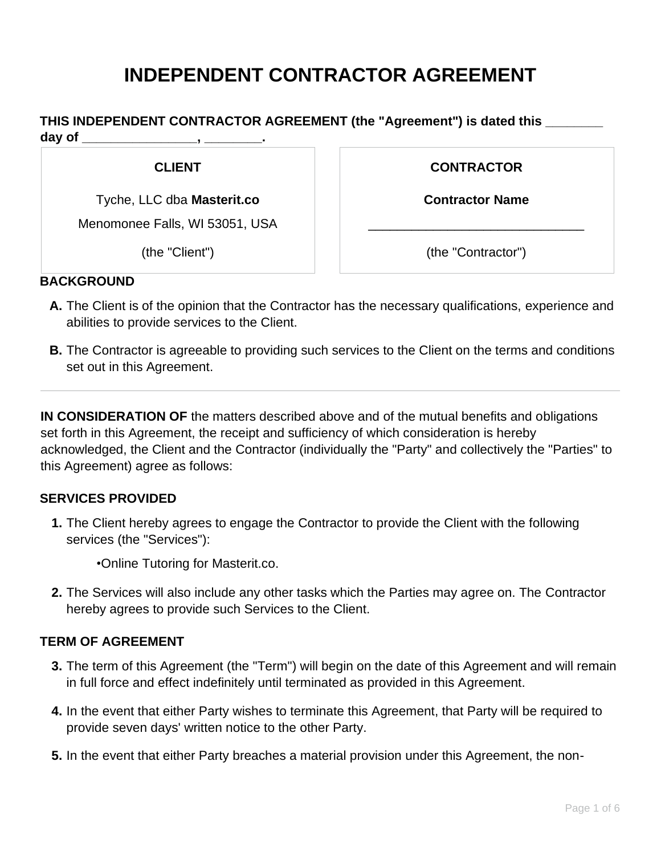# **INDEPENDENT CONTRACTOR AGREEMENT**

## THIS INDEPENDENT CONTRACTOR AGREEMENT (the "Agreement") is dated this **day of \_\_\_\_\_\_\_\_\_\_\_\_\_\_\_\_, \_\_\_\_\_\_\_\_.**

#### **CLIENT**

Tyche, LLC dba **Masterit.co**

Menomonee Falls, WI 53051, USA

(the "Client")

**CONTRACTOR**

**Contractor Name**

(the "Contractor")

\_\_\_\_\_\_\_\_\_\_\_\_\_\_\_\_\_\_\_\_\_\_\_\_\_\_\_\_\_\_

### **BACKGROUND**

- **A.** The Client is of the opinion that the Contractor has the necessary qualifications, experience and abilities to provide services to the Client.
- **B.** The Contractor is agreeable to providing such services to the Client on the terms and conditions set out in this Agreement.

**IN CONSIDERATION OF** the matters described above and of the mutual benefits and obligations set forth in this Agreement, the receipt and sufficiency of which consideration is hereby acknowledged, the Client and the Contractor (individually the "Party" and collectively the "Parties" to this Agreement) agree as follows:

## **SERVICES PROVIDED**

**1.** The Client hereby agrees to engage the Contractor to provide the Client with the following services (the "Services"):

•Online Tutoring for Masterit.co.

**2.** The Services will also include any other tasks which the Parties may agree on. The Contractor hereby agrees to provide such Services to the Client.

## **TERM OF AGREEMENT**

- **3.** The term of this Agreement (the "Term") will begin on the date of this Agreement and will remain in full force and effect indefinitely until terminated as provided in this Agreement.
- **4.** In the event that either Party wishes to terminate this Agreement, that Party will be required to provide seven days' written notice to the other Party.
- **5.** In the event that either Party breaches a material provision under this Agreement, the non-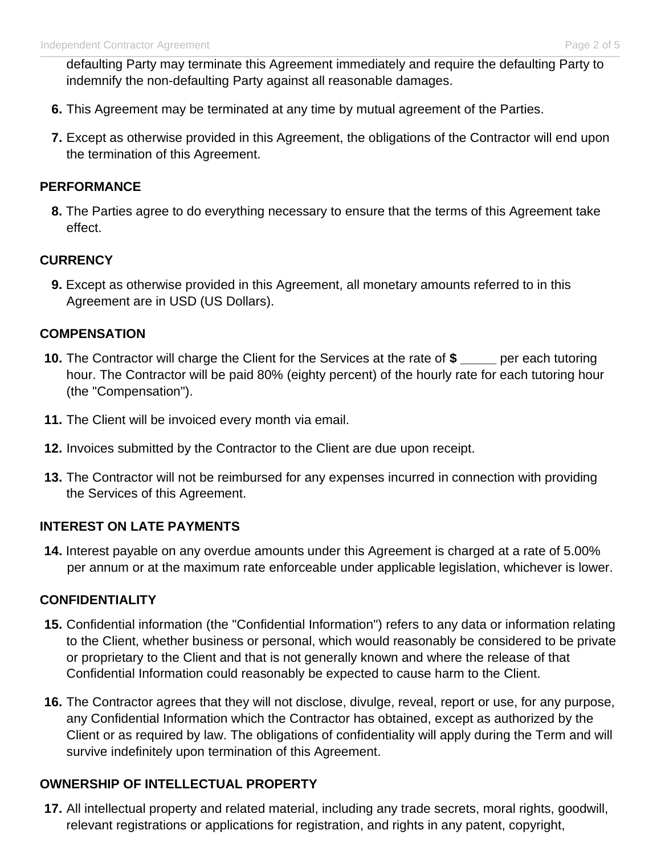defaulting Party may terminate this Agreement immediately and require the defaulting Party to indemnify the non-defaulting Party against all reasonable damages.

- **6.** This Agreement may be terminated at any time by mutual agreement of the Parties.
- **7.** Except as otherwise provided in this Agreement, the obligations of the Contractor will end upon the termination of this Agreement.

#### **PERFORMANCE**

**8.** The Parties agree to do everything necessary to ensure that the terms of this Agreement take effect.

## **CURRENCY**

**9.** Except as otherwise provided in this Agreement, all monetary amounts referred to in this Agreement are in USD (US Dollars).

### **COMPENSATION**

- **10.** The Contractor will charge the Client for the Services at the rate of **\$ \_\_\_\_\_** per each tutoring hour. The Contractor will be paid 80% (eighty percent) of the hourly rate for each tutoring hour (the "Compensation").
- **11.** The Client will be invoiced every month via email.
- **12.** Invoices submitted by the Contractor to the Client are due upon receipt.
- **13.** The Contractor will not be reimbursed for any expenses incurred in connection with providing the Services of this Agreement.

#### **INTEREST ON LATE PAYMENTS**

**14.** Interest payable on any overdue amounts under this Agreement is charged at a rate of 5.00% per annum or at the maximum rate enforceable under applicable legislation, whichever is lower.

#### **CONFIDENTIALITY**

- **15.** Confidential information (the "Confidential Information") refers to any data or information relating to the Client, whether business or personal, which would reasonably be considered to be private or proprietary to the Client and that is not generally known and where the release of that Confidential Information could reasonably be expected to cause harm to the Client.
- **16.** The Contractor agrees that they will not disclose, divulge, reveal, report or use, for any purpose, any Confidential Information which the Contractor has obtained, except as authorized by the Client or as required by law. The obligations of confidentiality will apply during the Term and will survive indefinitely upon termination of this Agreement.

#### **OWNERSHIP OF INTELLECTUAL PROPERTY**

**17.** All intellectual property and related material, including any trade secrets, moral rights, goodwill, relevant registrations or applications for registration, and rights in any patent, copyright,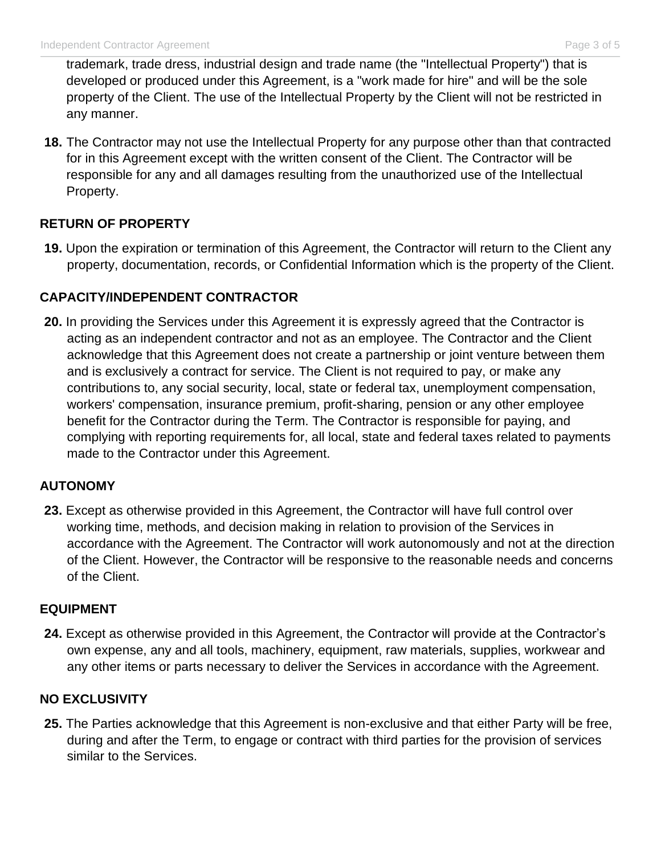trademark, trade dress, industrial design and trade name (the "Intellectual Property") that is developed or produced under this Agreement, is a "work made for hire" and will be the sole property of the Client. The use of the Intellectual Property by the Client will not be restricted in any manner.

**18.** The Contractor may not use the Intellectual Property for any purpose other than that contracted for in this Agreement except with the written consent of the Client. The Contractor will be responsible for any and all damages resulting from the unauthorized use of the Intellectual Property.

### **RETURN OF PROPERTY**

**19.** Upon the expiration or termination of this Agreement, the Contractor will return to the Client any property, documentation, records, or Confidential Information which is the property of the Client.

### **CAPACITY/INDEPENDENT CONTRACTOR**

**20.** In providing the Services under this Agreement it is expressly agreed that the Contractor is acting as an independent contractor and not as an employee. The Contractor and the Client acknowledge that this Agreement does not create a partnership or joint venture between them and is exclusively a contract for service. The Client is not required to pay, or make any contributions to, any social security, local, state or federal tax, unemployment compensation, workers' compensation, insurance premium, profit-sharing, pension or any other employee benefit for the Contractor during the Term. The Contractor is responsible for paying, and complying with reporting requirements for, all local, state and federal taxes related to payments made to the Contractor under this Agreement.

#### **AUTONOMY**

**23.** Except as otherwise provided in this Agreement, the Contractor will have full control over working time, methods, and decision making in relation to provision of the Services in accordance with the Agreement. The Contractor will work autonomously and not at the direction of the Client. However, the Contractor will be responsive to the reasonable needs and concerns of the Client.

#### **EQUIPMENT**

**24.** Except as otherwise provided in this Agreement, the Contractor will provide at the Contractor's own expense, any and all tools, machinery, equipment, raw materials, supplies, workwear and any other items or parts necessary to deliver the Services in accordance with the Agreement.

#### **NO EXCLUSIVITY**

**25.** The Parties acknowledge that this Agreement is non-exclusive and that either Party will be free, during and after the Term, to engage or contract with third parties for the provision of services similar to the Services.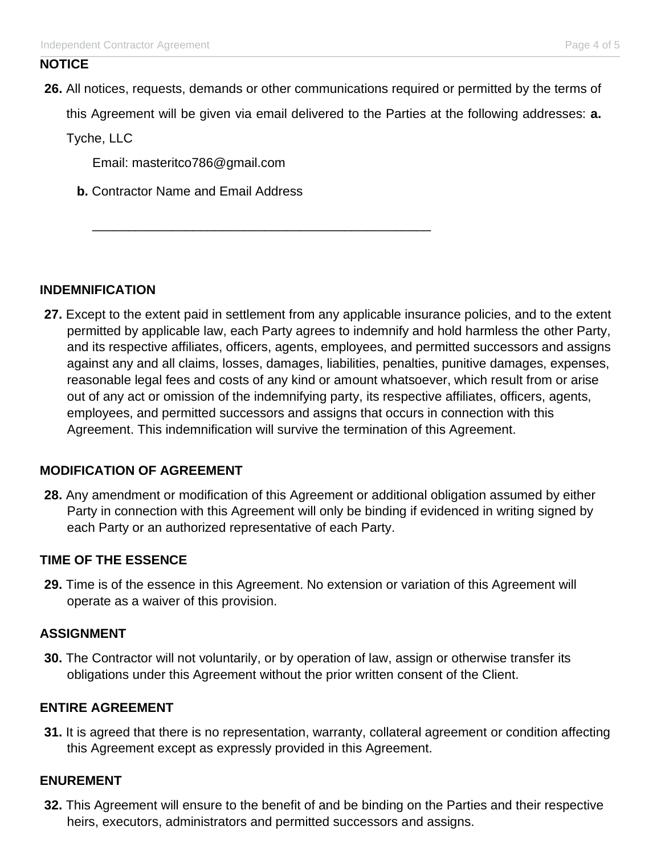## **NOTICE**

**26.** All notices, requests, demands or other communications required or permitted by the terms of this Agreement will be given via email delivered to the Parties at the following addresses: **a.** 

Tyche, LLC

Email: masteritco786@gmail.com

**b.** Contractor Name and Email Address

\_\_\_\_\_\_\_\_\_\_\_\_\_\_\_\_\_\_\_\_\_\_\_\_\_\_\_\_\_\_\_\_\_\_\_\_\_\_\_\_\_\_\_\_\_\_\_

# **INDEMNIFICATION**

**27.** Except to the extent paid in settlement from any applicable insurance policies, and to the extent permitted by applicable law, each Party agrees to indemnify and hold harmless the other Party, and its respective affiliates, officers, agents, employees, and permitted successors and assigns against any and all claims, losses, damages, liabilities, penalties, punitive damages, expenses, reasonable legal fees and costs of any kind or amount whatsoever, which result from or arise out of any act or omission of the indemnifying party, its respective affiliates, officers, agents, employees, and permitted successors and assigns that occurs in connection with this Agreement. This indemnification will survive the termination of this Agreement.

## **MODIFICATION OF AGREEMENT**

**28.** Any amendment or modification of this Agreement or additional obligation assumed by either Party in connection with this Agreement will only be binding if evidenced in writing signed by each Party or an authorized representative of each Party.

## **TIME OF THE ESSENCE**

**29.** Time is of the essence in this Agreement. No extension or variation of this Agreement will operate as a waiver of this provision.

## **ASSIGNMENT**

**30.** The Contractor will not voluntarily, or by operation of law, assign or otherwise transfer its obligations under this Agreement without the prior written consent of the Client.

# **ENTIRE AGREEMENT**

**31.** It is agreed that there is no representation, warranty, collateral agreement or condition affecting this Agreement except as expressly provided in this Agreement.

## **ENUREMENT**

**32.** This Agreement will ensure to the benefit of and be binding on the Parties and their respective heirs, executors, administrators and permitted successors and assigns.